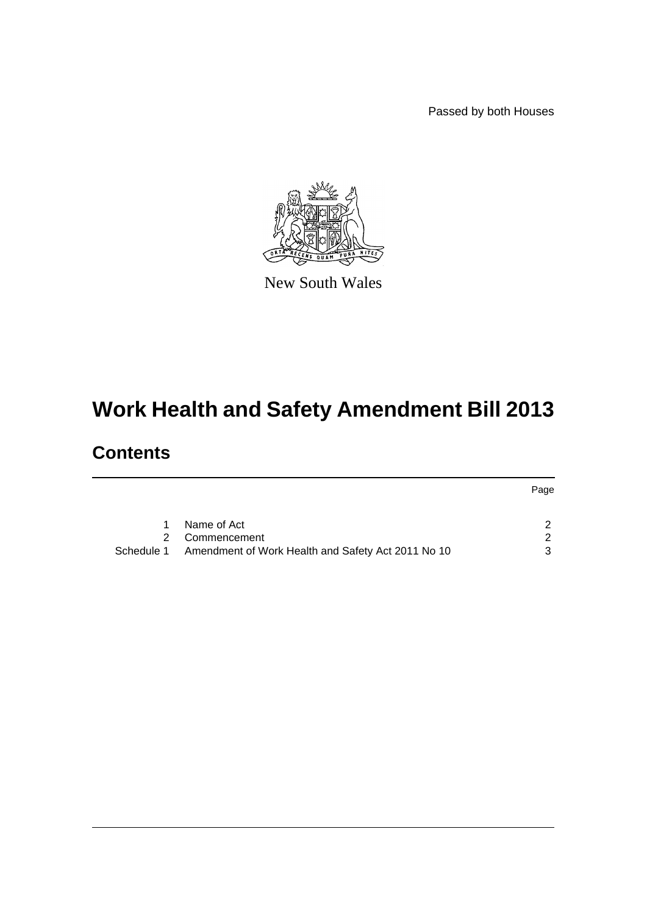Passed by both Houses



New South Wales

# **Work Health and Safety Amendment Bill 2013**

## **Contents**

|            |                                                    | Page          |
|------------|----------------------------------------------------|---------------|
|            | Name of Act                                        | ົ             |
|            | 2 Commencement                                     | $\mathcal{D}$ |
| Schedule 1 | Amendment of Work Health and Safety Act 2011 No 10 | ર             |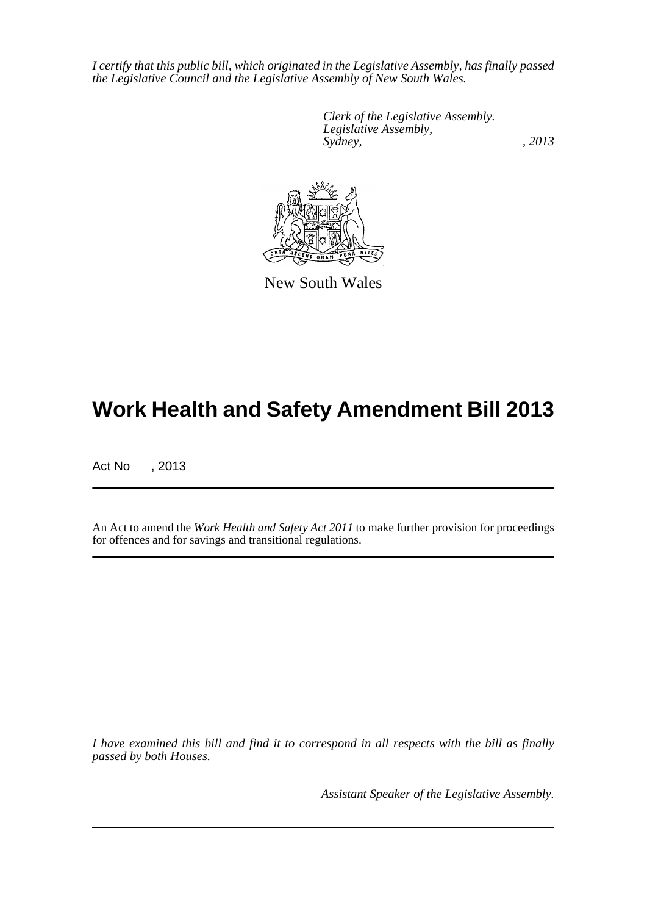*I certify that this public bill, which originated in the Legislative Assembly, has finally passed the Legislative Council and the Legislative Assembly of New South Wales.*

> *Clerk of the Legislative Assembly. Legislative Assembly, Sydney, , 2013*



New South Wales

## **Work Health and Safety Amendment Bill 2013**

Act No , 2013

An Act to amend the *Work Health and Safety Act 2011* to make further provision for proceedings for offences and for savings and transitional regulations.

*I have examined this bill and find it to correspond in all respects with the bill as finally passed by both Houses.*

*Assistant Speaker of the Legislative Assembly.*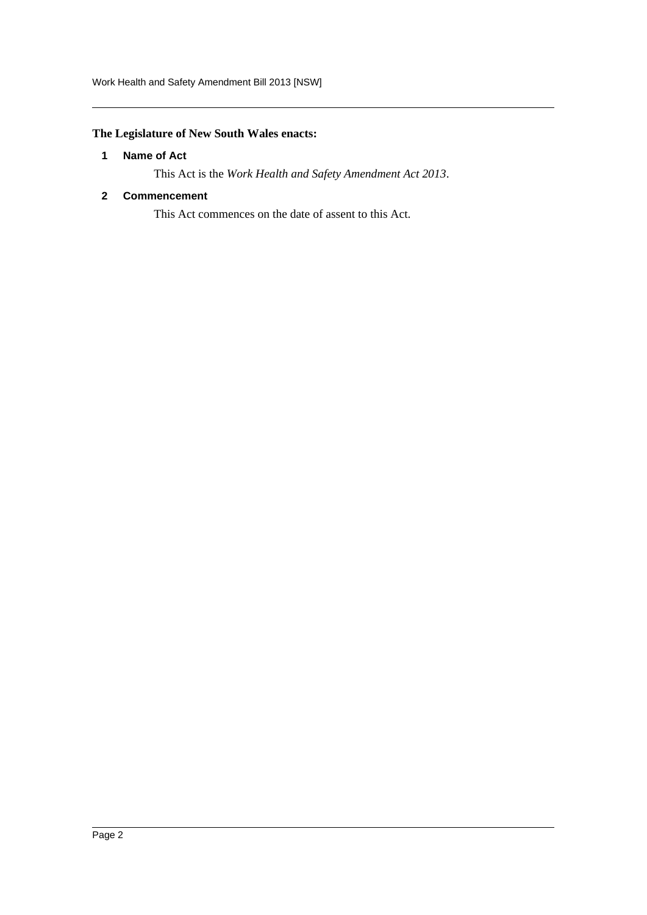### <span id="page-2-0"></span>**The Legislature of New South Wales enacts:**

#### **1 Name of Act**

This Act is the *Work Health and Safety Amendment Act 2013*.

#### <span id="page-2-1"></span>**2 Commencement**

This Act commences on the date of assent to this Act.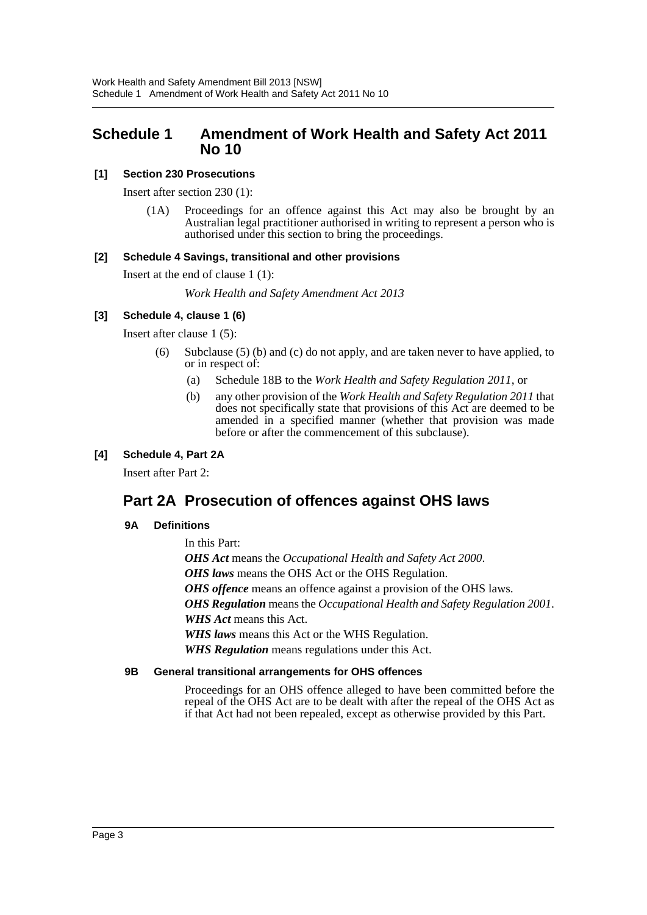## <span id="page-3-0"></span>**Schedule 1 Amendment of Work Health and Safety Act 2011 No 10**

#### **[1] Section 230 Prosecutions**

Insert after section 230 (1):

(1A) Proceedings for an offence against this Act may also be brought by an Australian legal practitioner authorised in writing to represent a person who is authorised under this section to bring the proceedings.

#### **[2] Schedule 4 Savings, transitional and other provisions**

Insert at the end of clause 1 (1):

*Work Health and Safety Amendment Act 2013*

#### **[3] Schedule 4, clause 1 (6)**

Insert after clause 1 (5):

- (6) Subclause (5) (b) and (c) do not apply, and are taken never to have applied, to or in respect of:
	- (a) Schedule 18B to the *Work Health and Safety Regulation 2011*, or
	- (b) any other provision of the *Work Health and Safety Regulation 2011* that does not specifically state that provisions of this Act are deemed to be amended in a specified manner (whether that provision was made before or after the commencement of this subclause).

#### **[4] Schedule 4, Part 2A**

Insert after Part 2:

## **Part 2A Prosecution of offences against OHS laws**

#### **9A Definitions**

In this Part: *OHS Act* means the *Occupational Health and Safety Act 2000*. *OHS laws* means the OHS Act or the OHS Regulation. *OHS offence* means an offence against a provision of the OHS laws. *OHS Regulation* means the *Occupational Health and Safety Regulation 2001*. *WHS Act* means this Act. *WHS laws* means this Act or the WHS Regulation. *WHS Regulation* means regulations under this Act.

#### **9B General transitional arrangements for OHS offences**

Proceedings for an OHS offence alleged to have been committed before the repeal of the OHS Act are to be dealt with after the repeal of the OHS Act as if that Act had not been repealed, except as otherwise provided by this Part.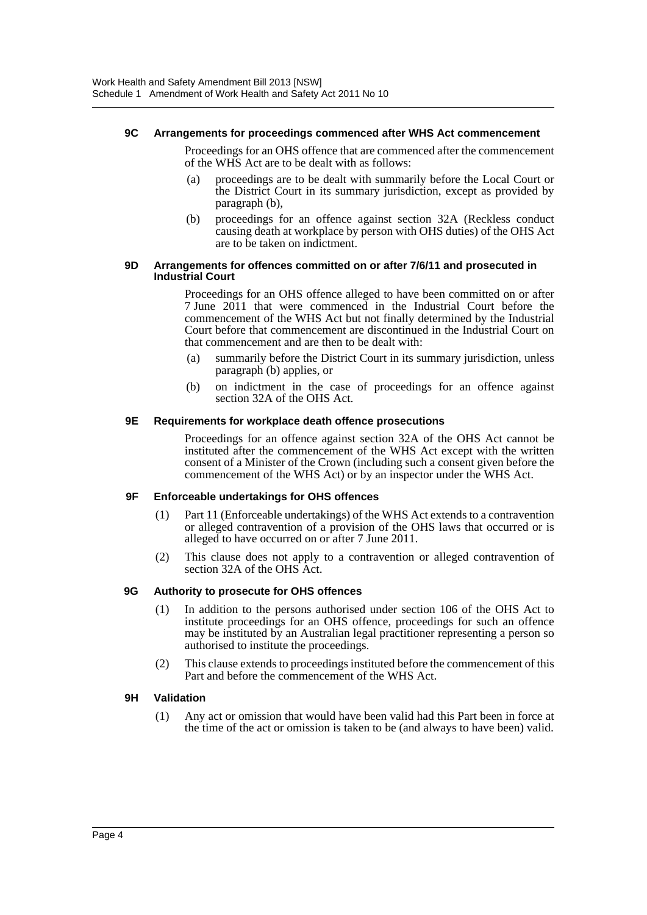#### **9C Arrangements for proceedings commenced after WHS Act commencement**

Proceedings for an OHS offence that are commenced after the commencement of the WHS Act are to be dealt with as follows:

- (a) proceedings are to be dealt with summarily before the Local Court or the District Court in its summary jurisdiction, except as provided by paragraph (b),
- (b) proceedings for an offence against section 32A (Reckless conduct causing death at workplace by person with OHS duties) of the OHS Act are to be taken on indictment.

#### **9D Arrangements for offences committed on or after 7/6/11 and prosecuted in Industrial Court**

Proceedings for an OHS offence alleged to have been committed on or after 7 June 2011 that were commenced in the Industrial Court before the commencement of the WHS Act but not finally determined by the Industrial Court before that commencement are discontinued in the Industrial Court on that commencement and are then to be dealt with:

- (a) summarily before the District Court in its summary jurisdiction, unless paragraph (b) applies, or
- (b) on indictment in the case of proceedings for an offence against section 32A of the OHS Act.

#### **9E Requirements for workplace death offence prosecutions**

Proceedings for an offence against section 32A of the OHS Act cannot be instituted after the commencement of the WHS Act except with the written consent of a Minister of the Crown (including such a consent given before the commencement of the WHS Act) or by an inspector under the WHS Act.

#### **9F Enforceable undertakings for OHS offences**

- (1) Part 11 (Enforceable undertakings) of the WHS Act extends to a contravention or alleged contravention of a provision of the OHS laws that occurred or is alleged to have occurred on or after 7 June 2011.
- (2) This clause does not apply to a contravention or alleged contravention of section 32A of the OHS Act.

#### **9G Authority to prosecute for OHS offences**

- (1) In addition to the persons authorised under section 106 of the OHS Act to institute proceedings for an OHS offence, proceedings for such an offence may be instituted by an Australian legal practitioner representing a person so authorised to institute the proceedings.
- (2) This clause extends to proceedings instituted before the commencement of this Part and before the commencement of the WHS Act.

#### **9H Validation**

(1) Any act or omission that would have been valid had this Part been in force at the time of the act or omission is taken to be (and always to have been) valid.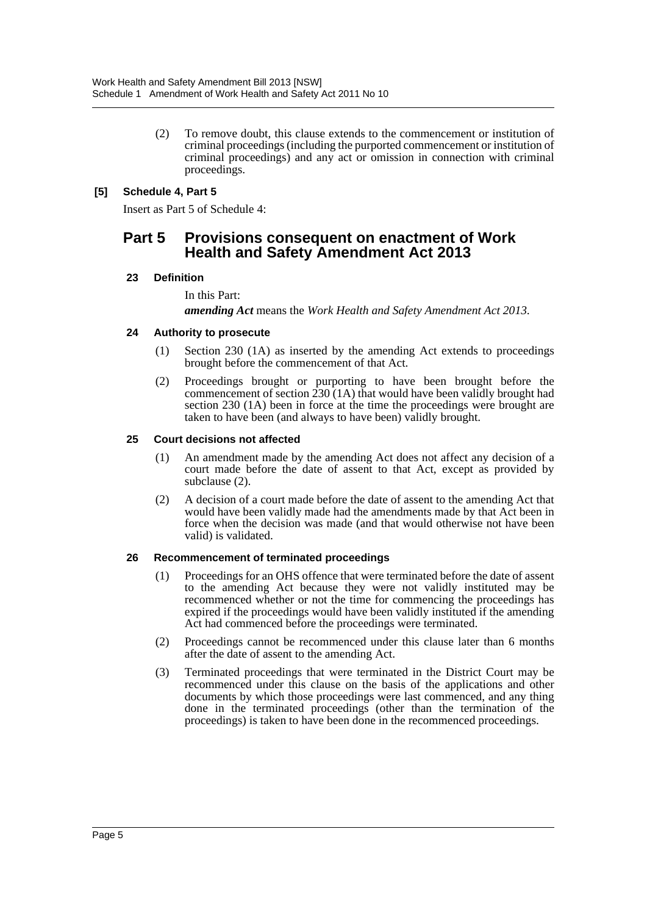(2) To remove doubt, this clause extends to the commencement or institution of criminal proceedings (including the purported commencement or institution of criminal proceedings) and any act or omission in connection with criminal proceedings.

#### **[5] Schedule 4, Part 5**

Insert as Part 5 of Schedule 4:

### **Part 5 Provisions consequent on enactment of Work Health and Safety Amendment Act 2013**

#### **23 Definition**

In this Part:

*amending Act* means the *Work Health and Safety Amendment Act 2013*.

#### **24 Authority to prosecute**

- (1) Section 230 (1A) as inserted by the amending Act extends to proceedings brought before the commencement of that Act.
- (2) Proceedings brought or purporting to have been brought before the commencement of section 230 (1A) that would have been validly brought had section 230 (1A) been in force at the time the proceedings were brought are taken to have been (and always to have been) validly brought.

#### **25 Court decisions not affected**

- (1) An amendment made by the amending Act does not affect any decision of a court made before the date of assent to that Act, except as provided by subclause (2).
- (2) A decision of a court made before the date of assent to the amending Act that would have been validly made had the amendments made by that Act been in force when the decision was made (and that would otherwise not have been valid) is validated.

#### **26 Recommencement of terminated proceedings**

- (1) Proceedings for an OHS offence that were terminated before the date of assent to the amending Act because they were not validly instituted may be recommenced whether or not the time for commencing the proceedings has expired if the proceedings would have been validly instituted if the amending Act had commenced before the proceedings were terminated.
- (2) Proceedings cannot be recommenced under this clause later than 6 months after the date of assent to the amending Act.
- (3) Terminated proceedings that were terminated in the District Court may be recommenced under this clause on the basis of the applications and other documents by which those proceedings were last commenced, and any thing done in the terminated proceedings (other than the termination of the proceedings) is taken to have been done in the recommenced proceedings.